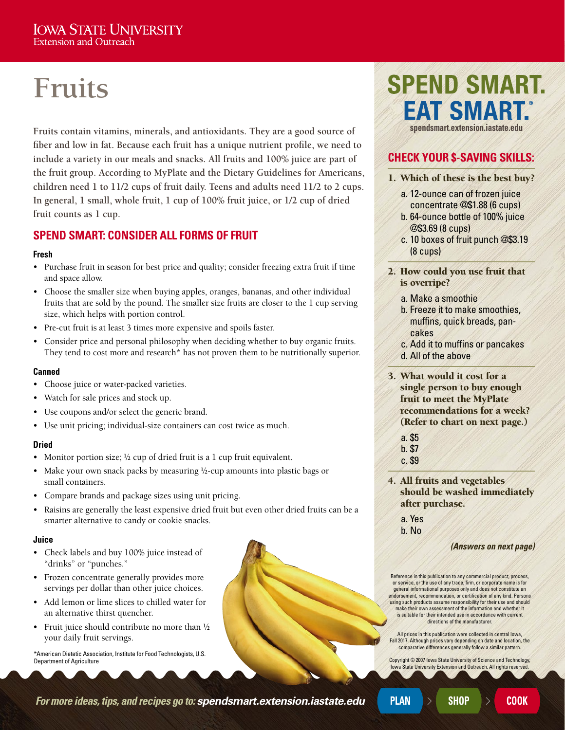# **Fruits**

**Fruits contain vitamins, minerals, and antioxidants. They are a good source of fiber and low in fat. Because each fruit has a unique nutrient profile, we need to include a variety in our meals and snacks. All fruits and 100% juice are part of the fruit group. According to MyPlate and the Dietary Guidelines for Americans, children need 1 to 11/2 cups of fruit daily. Teens and adults need 11/2 to 2 cups. In general, 1 small, whole fruit, 1 cup of 100% fruit juice, or 1/2 cup of dried fruit counts as 1 cup.** 

### **SPEND SMART: CONSIDER ALL FORMS OF FRUIT**

#### **Fresh**

- Purchase fruit in season for best price and quality; consider freezing extra fruit if time and space allow.
- Choose the smaller size when buying apples, oranges, bananas, and other individual fruits that are sold by the pound. The smaller size fruits are closer to the 1 cup serving size, which helps with portion control.
- Pre-cut fruit is at least 3 times more expensive and spoils faster.
- Consider price and personal philosophy when deciding whether to buy organic fruits. They tend to cost more and research<sup>\*</sup> has not proven them to be nutritionally superior.

#### **Canned**

- Choose juice or water-packed varieties.
- Watch for sale prices and stock up.
- Use coupons and/or select the generic brand.
- Use unit pricing; individual-size containers can cost twice as much.

#### **Dried**

- Monitor portion size;  $\frac{1}{2}$  cup of dried fruit is a 1 cup fruit equivalent.
- Make your own snack packs by measuring 1/2-cup amounts into plastic bags or small containers.
- Compare brands and package sizes using unit pricing.
- Raisins are generally the least expensive dried fruit but even other dried fruits can be a smarter alternative to candy or cookie snacks.

#### **Juice**

- Check labels and buy 100% juice instead of "drinks" or "punches."
- Frozen concentrate generally provides more servings per dollar than other juice choices.
- Add lemon or lime slices to chilled water for an alternative thirst quencher.
- Fruit juice should contribute no more than  $\frac{1}{2}$ your daily fruit servings.

\*American Dietetic Association, Institute for Food Technologists, U.S. Department of Agriculture

## **SPEND SMART. EAT SMART. [spendsmart.extension.iastate.edu](http://spendsmart.extension.iastate.edu/)**

## **CHECK YOUR \$-SAVING SKILLS:**

- 1. Which of these is the best buy?
	- a. 12-ounce can of frozen juice concentrate @\$1.88 (6 cups)
	- b. 64-ounce bottle of 100% juice @\$3.69 (8 cups)
	- c. 10 boxes of fruit punch @\$3.19 (8 cups)
- 2. How could you use fruit that is overripe?
	- a. Make a smoothie
	- b. Freeze it to make smoothies, muffins, quick breads, pancakes
	- c. Add it to muffins or pancakes d. All of the above
- 3. What would it cost for a single person to buy enough fruit to meet the MyPlate recommendations for a week? (Refer to chart on next page.)
	- a. \$5 b. \$7
	- c. \$9
- 4. All fruits and vegetables should be washed immediately after purchase.
	- a. Yes b. No

*(Answers on next page)*

Reference in this publication to any commercial product, process, or service, or the use of any trade, firm, or corporate name is for general informational purposes only and does not constitute an endorsement, recommendation, or certification of any kind. Persons using such products assume responsibility for their use and should make their own assessment of the information and whether it is suitable for their intended use in accordance with current directions of the manufacturer.

All prices in this publication were collected in central Iowa, Fall 2017. Although prices vary depending on date and location, the comparative differences generally follow a similar pattern.

Copyright © 2007 Iowa State University of Science and Technology, a State University Extension and Outreach. All rights reserve

*For more ideas, tips, and recipes go to: [spendsmart.extension.iastate.edu](http://spendsmart.extension.iastate.edu/)* PLAN **ACCOOK**